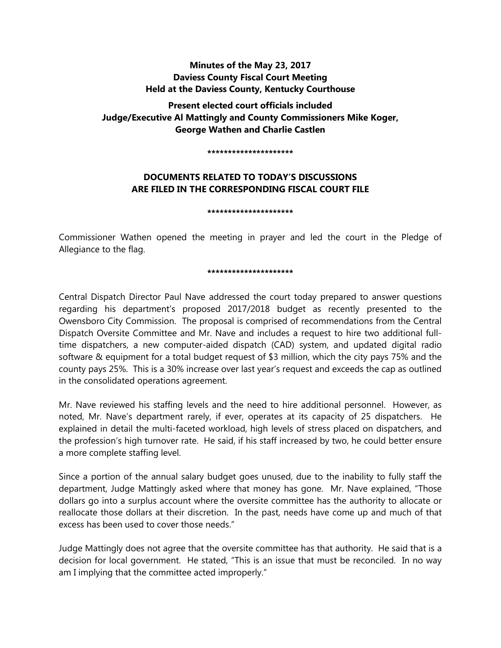# **Minutes of the May 23, 2017 Daviess County Fiscal Court Meeting Held at the Daviess County, Kentucky Courthouse**

**Present elected court officials included Judge/Executive Al Mattingly and County Commissioners Mike Koger, George Wathen and Charlie Castlen** 

**\*\*\*\*\*\*\*\*\*\*\*\*\*\*\*\*\*\*\*\*\***

# **DOCUMENTS RELATED TO TODAY'S DISCUSSIONS ARE FILED IN THE CORRESPONDING FISCAL COURT FILE**

**\*\*\*\*\*\*\*\*\*\*\*\*\*\*\*\*\*\*\*\*\***

Commissioner Wathen opened the meeting in prayer and led the court in the Pledge of Allegiance to the flag.

### **\*\*\*\*\*\*\*\*\*\*\*\*\*\*\*\*\*\*\*\*\***

Central Dispatch Director Paul Nave addressed the court today prepared to answer questions regarding his department's proposed 2017/2018 budget as recently presented to the Owensboro City Commission. The proposal is comprised of recommendations from the Central Dispatch Oversite Committee and Mr. Nave and includes a request to hire two additional fulltime dispatchers, a new computer-aided dispatch (CAD) system, and updated digital radio software & equipment for a total budget request of \$3 million, which the city pays 75% and the county pays 25%. This is a 30% increase over last year's request and exceeds the cap as outlined in the consolidated operations agreement.

Mr. Nave reviewed his staffing levels and the need to hire additional personnel. However, as noted, Mr. Nave's department rarely, if ever, operates at its capacity of 25 dispatchers. He explained in detail the multi-faceted workload, high levels of stress placed on dispatchers, and the profession's high turnover rate. He said, if his staff increased by two, he could better ensure a more complete staffing level.

Since a portion of the annual salary budget goes unused, due to the inability to fully staff the department, Judge Mattingly asked where that money has gone. Mr. Nave explained, "Those dollars go into a surplus account where the oversite committee has the authority to allocate or reallocate those dollars at their discretion. In the past, needs have come up and much of that excess has been used to cover those needs."

Judge Mattingly does not agree that the oversite committee has that authority. He said that is a decision for local government. He stated, "This is an issue that must be reconciled. In no way am I implying that the committee acted improperly."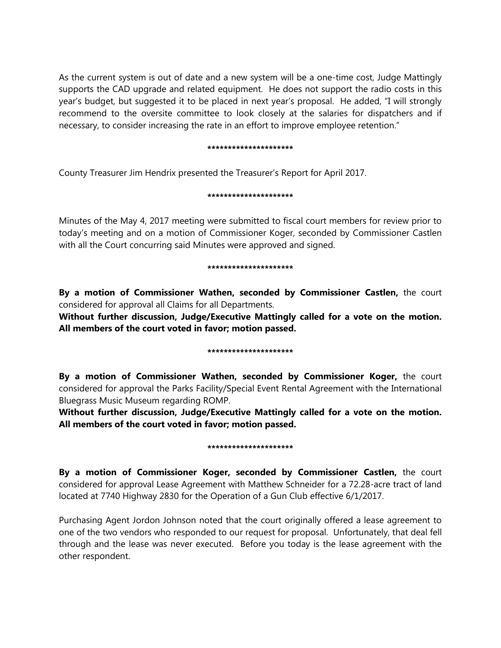As the current system is out of date and a new system will be a one-time cost, Judge Mattingly supports the CAD upgrade and related equipment. He does not support the radio costs in this year's budget, but suggested it to be placed in next year's proposal. He added, "I will strongly recommend to the oversite committee to look closely at the salaries for dispatchers and if necessary, to consider increasing the rate in an effort to improve employee retention."

### **\*\*\*\*\*\*\*\*\*\*\*\*\*\*\*\*\*\*\*\*\***

County Treasurer Jim Hendrix presented the Treasurer's Report for April 2017.

## **\*\*\*\*\*\*\*\*\*\*\*\*\*\*\*\*\*\*\*\*\***

Minutes of the May 4, 2017 meeting were submitted to fiscal court members for review prior to today's meeting and on a motion of Commissioner Koger, seconded by Commissioner Castlen with all the Court concurring said Minutes were approved and signed.

## **\*\*\*\*\*\*\*\*\*\*\*\*\*\*\*\*\*\*\*\*\***

**By a motion of Commissioner Wathen, seconded by Commissioner Castlen,** the court considered for approval all Claims for all Departments.

**Without further discussion, Judge/Executive Mattingly called for a vote on the motion. All members of the court voted in favor; motion passed.** 

## **\*\*\*\*\*\*\*\*\*\*\*\*\*\*\*\*\*\*\*\*\***

**By a motion of Commissioner Wathen, seconded by Commissioner Koger,** the court considered for approval the Parks Facility/Special Event Rental Agreement with the International Bluegrass Music Museum regarding ROMP.

**Without further discussion, Judge/Executive Mattingly called for a vote on the motion. All members of the court voted in favor; motion passed.** 

## **\*\*\*\*\*\*\*\*\*\*\*\*\*\*\*\*\*\*\*\*\***

**By a motion of Commissioner Koger, seconded by Commissioner Castlen,** the court considered for approval Lease Agreement with Matthew Schneider for a 72.28-acre tract of land located at 7740 Highway 2830 for the Operation of a Gun Club effective 6/1/2017.

Purchasing Agent Jordon Johnson noted that the court originally offered a lease agreement to one of the two vendors who responded to our request for proposal. Unfortunately, that deal fell through and the lease was never executed. Before you today is the lease agreement with the other respondent.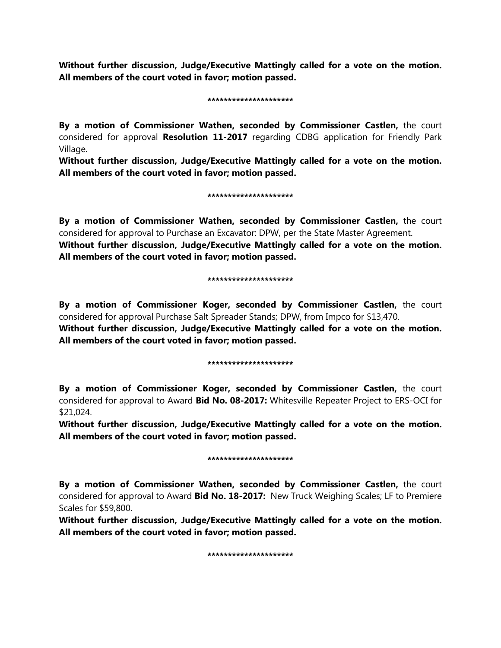**Without further discussion, Judge/Executive Mattingly called for a vote on the motion. All members of the court voted in favor; motion passed.** 

#### **\*\*\*\*\*\*\*\*\*\*\*\*\*\*\*\*\*\*\*\*\***

**By a motion of Commissioner Wathen, seconded by Commissioner Castlen,** the court considered for approval **Resolution 11-2017** regarding CDBG application for Friendly Park Village.

**Without further discussion, Judge/Executive Mattingly called for a vote on the motion. All members of the court voted in favor; motion passed.** 

#### **\*\*\*\*\*\*\*\*\*\*\*\*\*\*\*\*\*\*\*\*\***

**By a motion of Commissioner Wathen, seconded by Commissioner Castlen,** the court considered for approval to Purchase an Excavator: DPW, per the State Master Agreement. **Without further discussion, Judge/Executive Mattingly called for a vote on the motion. All members of the court voted in favor; motion passed.** 

#### **\*\*\*\*\*\*\*\*\*\*\*\*\*\*\*\*\*\*\*\*\***

**By a motion of Commissioner Koger, seconded by Commissioner Castlen,** the court considered for approval Purchase Salt Spreader Stands; DPW, from Impco for \$13,470. **Without further discussion, Judge/Executive Mattingly called for a vote on the motion. All members of the court voted in favor; motion passed.** 

#### **\*\*\*\*\*\*\*\*\*\*\*\*\*\*\*\*\*\*\*\*\***

**By a motion of Commissioner Koger, seconded by Commissioner Castlen,** the court considered for approval to Award **Bid No. 08-2017:** Whitesville Repeater Project to ERS-OCI for \$21,024.

**Without further discussion, Judge/Executive Mattingly called for a vote on the motion. All members of the court voted in favor; motion passed.** 

#### **\*\*\*\*\*\*\*\*\*\*\*\*\*\*\*\*\*\*\*\*\***

**By a motion of Commissioner Wathen, seconded by Commissioner Castlen,** the court considered for approval to Award **Bid No. 18-2017:** New Truck Weighing Scales; LF to Premiere Scales for \$59,800.

**Without further discussion, Judge/Executive Mattingly called for a vote on the motion. All members of the court voted in favor; motion passed.** 

**\*\*\*\*\*\*\*\*\*\*\*\*\*\*\*\*\*\*\*\*\***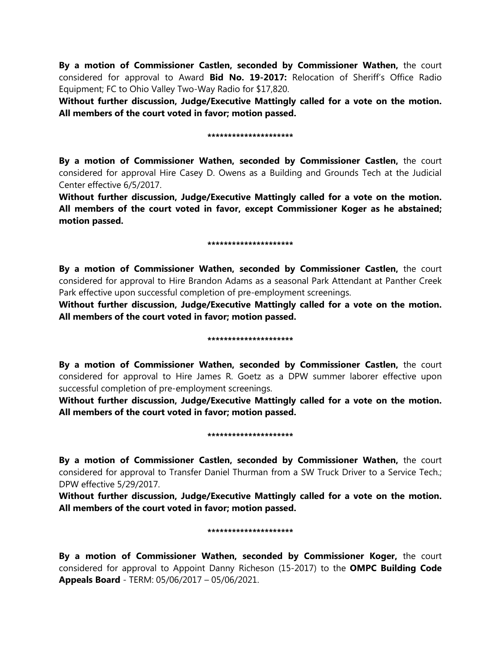**By a motion of Commissioner Castlen, seconded by Commissioner Wathen,** the court considered for approval to Award **Bid No. 19-2017:** Relocation of Sheriff's Office Radio Equipment; FC to Ohio Valley Two-Way Radio for \$17,820.

**Without further discussion, Judge/Executive Mattingly called for a vote on the motion. All members of the court voted in favor; motion passed.** 

#### **\*\*\*\*\*\*\*\*\*\*\*\*\*\*\*\*\*\*\*\*\***

**By a motion of Commissioner Wathen, seconded by Commissioner Castlen,** the court considered for approval Hire Casey D. Owens as a Building and Grounds Tech at the Judicial Center effective 6/5/2017.

**Without further discussion, Judge/Executive Mattingly called for a vote on the motion. All members of the court voted in favor, except Commissioner Koger as he abstained; motion passed.** 

#### **\*\*\*\*\*\*\*\*\*\*\*\*\*\*\*\*\*\*\*\*\***

**By a motion of Commissioner Wathen, seconded by Commissioner Castlen,** the court considered for approval to Hire Brandon Adams as a seasonal Park Attendant at Panther Creek Park effective upon successful completion of pre-employment screenings.

**Without further discussion, Judge/Executive Mattingly called for a vote on the motion. All members of the court voted in favor; motion passed.** 

#### **\*\*\*\*\*\*\*\*\*\*\*\*\*\*\*\*\*\*\*\*\***

**By a motion of Commissioner Wathen, seconded by Commissioner Castlen,** the court considered for approval to Hire James R. Goetz as a DPW summer laborer effective upon successful completion of pre-employment screenings.

**Without further discussion, Judge/Executive Mattingly called for a vote on the motion. All members of the court voted in favor; motion passed.** 

#### **\*\*\*\*\*\*\*\*\*\*\*\*\*\*\*\*\*\*\*\*\***

**By a motion of Commissioner Castlen, seconded by Commissioner Wathen,** the court considered for approval to Transfer Daniel Thurman from a SW Truck Driver to a Service Tech.; DPW effective 5/29/2017.

**Without further discussion, Judge/Executive Mattingly called for a vote on the motion. All members of the court voted in favor; motion passed.** 

#### **\*\*\*\*\*\*\*\*\*\*\*\*\*\*\*\*\*\*\*\*\***

**By a motion of Commissioner Wathen, seconded by Commissioner Koger,** the court considered for approval to Appoint Danny Richeson (15-2017) to the **OMPC Building Code Appeals Board** - TERM: 05/06/2017 – 05/06/2021.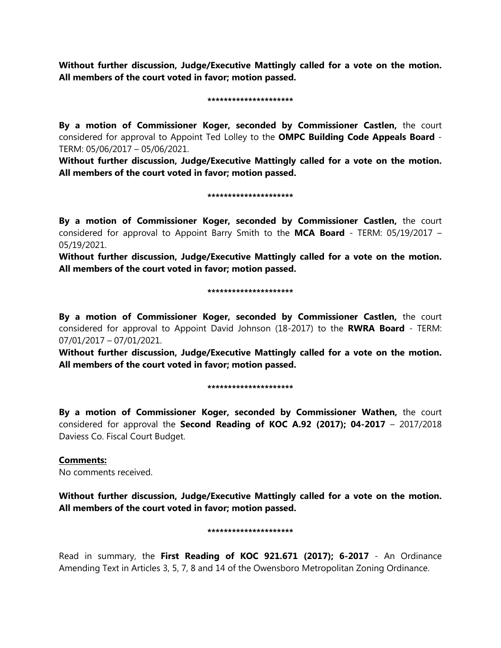**Without further discussion, Judge/Executive Mattingly called for a vote on the motion. All members of the court voted in favor; motion passed.** 

#### **\*\*\*\*\*\*\*\*\*\*\*\*\*\*\*\*\*\*\*\*\***

**By a motion of Commissioner Koger, seconded by Commissioner Castlen,** the court considered for approval to Appoint Ted Lolley to the **OMPC Building Code Appeals Board** - TERM: 05/06/2017 – 05/06/2021.

**Without further discussion, Judge/Executive Mattingly called for a vote on the motion. All members of the court voted in favor; motion passed.** 

#### **\*\*\*\*\*\*\*\*\*\*\*\*\*\*\*\*\*\*\*\*\***

**By a motion of Commissioner Koger, seconded by Commissioner Castlen,** the court considered for approval to Appoint Barry Smith to the **MCA Board** - TERM: 05/19/2017 – 05/19/2021.

**Without further discussion, Judge/Executive Mattingly called for a vote on the motion. All members of the court voted in favor; motion passed.** 

#### **\*\*\*\*\*\*\*\*\*\*\*\*\*\*\*\*\*\*\*\*\***

**By a motion of Commissioner Koger, seconded by Commissioner Castlen,** the court considered for approval to Appoint David Johnson (18-2017) to the **RWRA Board** - TERM: 07/01/2017 – 07/01/2021.

**Without further discussion, Judge/Executive Mattingly called for a vote on the motion. All members of the court voted in favor; motion passed.** 

#### **\*\*\*\*\*\*\*\*\*\*\*\*\*\*\*\*\*\*\*\*\***

**By a motion of Commissioner Koger, seconded by Commissioner Wathen,** the court considered for approval the **Second Reading of KOC A.92 (2017); 04-2017** – 2017/2018 Daviess Co. Fiscal Court Budget.

## **Comments:**

No comments received.

**Without further discussion, Judge/Executive Mattingly called for a vote on the motion. All members of the court voted in favor; motion passed.** 

#### **\*\*\*\*\*\*\*\*\*\*\*\*\*\*\*\*\*\*\*\*\***

Read in summary, the **First Reading of KOC 921.671 (2017); 6-2017** - An Ordinance Amending Text in Articles 3, 5, 7, 8 and 14 of the Owensboro Metropolitan Zoning Ordinance.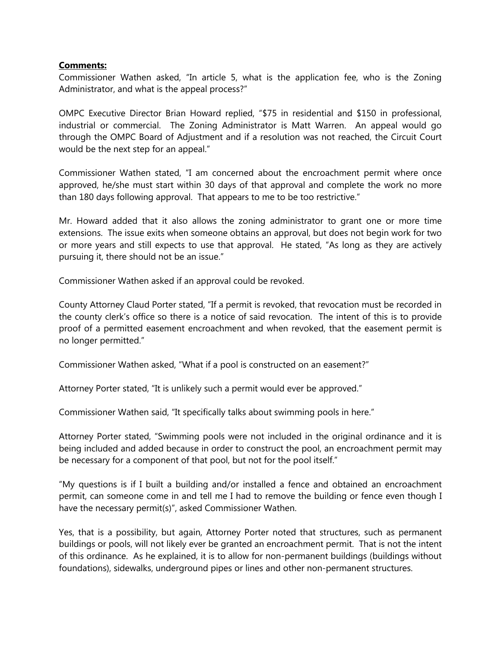## **Comments:**

Commissioner Wathen asked, "In article 5, what is the application fee, who is the Zoning Administrator, and what is the appeal process?"

OMPC Executive Director Brian Howard replied, "\$75 in residential and \$150 in professional, industrial or commercial. The Zoning Administrator is Matt Warren. An appeal would go through the OMPC Board of Adjustment and if a resolution was not reached, the Circuit Court would be the next step for an appeal."

Commissioner Wathen stated, "I am concerned about the encroachment permit where once approved, he/she must start within 30 days of that approval and complete the work no more than 180 days following approval. That appears to me to be too restrictive."

Mr. Howard added that it also allows the zoning administrator to grant one or more time extensions. The issue exits when someone obtains an approval, but does not begin work for two or more years and still expects to use that approval. He stated, "As long as they are actively pursuing it, there should not be an issue."

Commissioner Wathen asked if an approval could be revoked.

County Attorney Claud Porter stated, "If a permit is revoked, that revocation must be recorded in the county clerk's office so there is a notice of said revocation. The intent of this is to provide proof of a permitted easement encroachment and when revoked, that the easement permit is no longer permitted."

Commissioner Wathen asked, "What if a pool is constructed on an easement?"

Attorney Porter stated, "It is unlikely such a permit would ever be approved."

Commissioner Wathen said, "It specifically talks about swimming pools in here."

Attorney Porter stated, "Swimming pools were not included in the original ordinance and it is being included and added because in order to construct the pool, an encroachment permit may be necessary for a component of that pool, but not for the pool itself."

"My questions is if I built a building and/or installed a fence and obtained an encroachment permit, can someone come in and tell me I had to remove the building or fence even though I have the necessary permit(s)", asked Commissioner Wathen.

Yes, that is a possibility, but again, Attorney Porter noted that structures, such as permanent buildings or pools, will not likely ever be granted an encroachment permit. That is not the intent of this ordinance. As he explained, it is to allow for non-permanent buildings (buildings without foundations), sidewalks, underground pipes or lines and other non-permanent structures.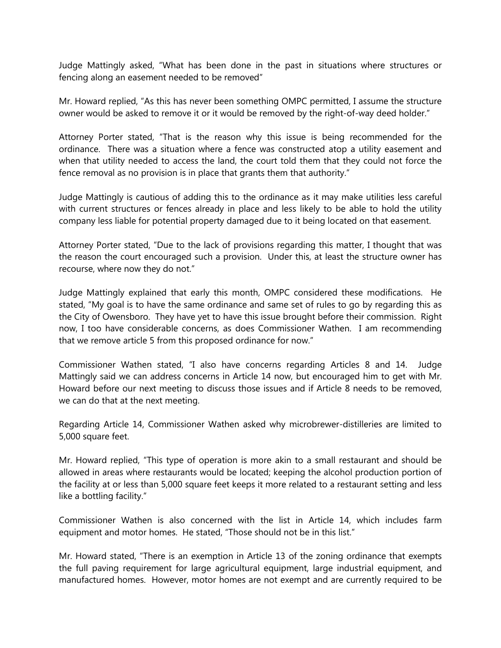Judge Mattingly asked, "What has been done in the past in situations where structures or fencing along an easement needed to be removed"

Mr. Howard replied, "As this has never been something OMPC permitted, I assume the structure owner would be asked to remove it or it would be removed by the right-of-way deed holder."

Attorney Porter stated, "That is the reason why this issue is being recommended for the ordinance. There was a situation where a fence was constructed atop a utility easement and when that utility needed to access the land, the court told them that they could not force the fence removal as no provision is in place that grants them that authority."

Judge Mattingly is cautious of adding this to the ordinance as it may make utilities less careful with current structures or fences already in place and less likely to be able to hold the utility company less liable for potential property damaged due to it being located on that easement.

Attorney Porter stated, "Due to the lack of provisions regarding this matter, I thought that was the reason the court encouraged such a provision. Under this, at least the structure owner has recourse, where now they do not."

Judge Mattingly explained that early this month, OMPC considered these modifications. He stated, "My goal is to have the same ordinance and same set of rules to go by regarding this as the City of Owensboro. They have yet to have this issue brought before their commission. Right now, I too have considerable concerns, as does Commissioner Wathen. I am recommending that we remove article 5 from this proposed ordinance for now."

Commissioner Wathen stated, "I also have concerns regarding Articles 8 and 14. Judge Mattingly said we can address concerns in Article 14 now, but encouraged him to get with Mr. Howard before our next meeting to discuss those issues and if Article 8 needs to be removed, we can do that at the next meeting.

Regarding Article 14, Commissioner Wathen asked why microbrewer-distilleries are limited to 5,000 square feet.

Mr. Howard replied, "This type of operation is more akin to a small restaurant and should be allowed in areas where restaurants would be located; keeping the alcohol production portion of the facility at or less than 5,000 square feet keeps it more related to a restaurant setting and less like a bottling facility."

Commissioner Wathen is also concerned with the list in Article 14, which includes farm equipment and motor homes. He stated, "Those should not be in this list."

Mr. Howard stated, "There is an exemption in Article 13 of the zoning ordinance that exempts the full paving requirement for large agricultural equipment, large industrial equipment, and manufactured homes. However, motor homes are not exempt and are currently required to be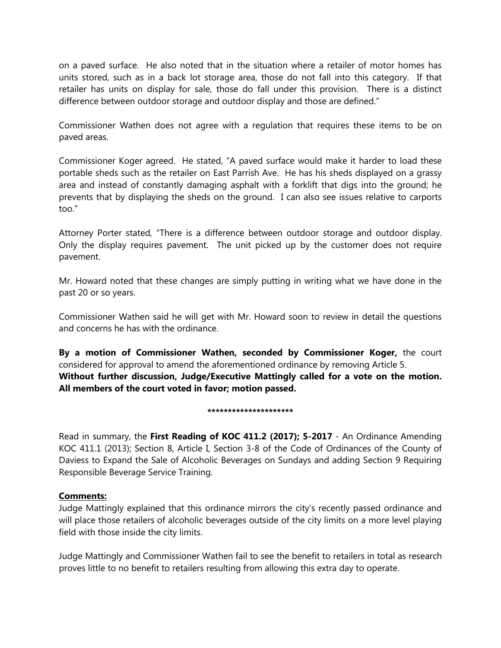on a paved surface. He also noted that in the situation where a retailer of motor homes has units stored, such as in a back lot storage area, those do not fall into this category. If that retailer has units on display for sale, those do fall under this provision. There is a distinct difference between outdoor storage and outdoor display and those are defined."

Commissioner Wathen does not agree with a regulation that requires these items to be on paved areas.

Commissioner Koger agreed. He stated, "A paved surface would make it harder to load these portable sheds such as the retailer on East Parrish Ave. He has his sheds displayed on a grassy area and instead of constantly damaging asphalt with a forklift that digs into the ground; he prevents that by displaying the sheds on the ground. I can also see issues relative to carports too."

Attorney Porter stated, "There is a difference between outdoor storage and outdoor display. Only the display requires pavement. The unit picked up by the customer does not require pavement.

Mr. Howard noted that these changes are simply putting in writing what we have done in the past 20 or so years.

Commissioner Wathen said he will get with Mr. Howard soon to review in detail the questions and concerns he has with the ordinance.

**By a motion of Commissioner Wathen, seconded by Commissioner Koger,** the court considered for approval to amend the aforementioned ordinance by removing Article 5. **Without further discussion, Judge/Executive Mattingly called for a vote on the motion. All members of the court voted in favor; motion passed.** 

#### **\*\*\*\*\*\*\*\*\*\*\*\*\*\*\*\*\*\*\*\*\***

Read in summary, the **First Reading of KOC 411.2 (2017); 5-2017** - An Ordinance Amending KOC 411.1 (2013); Section 8, Article I, Section 3-8 of the Code of Ordinances of the County of Daviess to Expand the Sale of Alcoholic Beverages on Sundays and adding Section 9 Requiring Responsible Beverage Service Training.

## **Comments:**

Judge Mattingly explained that this ordinance mirrors the city's recently passed ordinance and will place those retailers of alcoholic beverages outside of the city limits on a more level playing field with those inside the city limits.

Judge Mattingly and Commissioner Wathen fail to see the benefit to retailers in total as research proves little to no benefit to retailers resulting from allowing this extra day to operate.